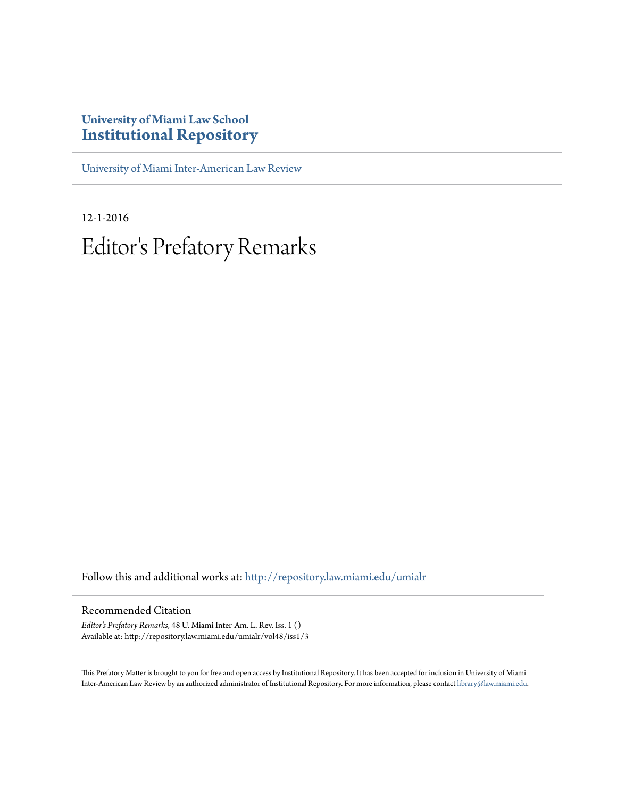# **University of Miami Law School [Institutional Repository](http://repository.law.miami.edu?utm_source=repository.law.miami.edu%2Fumialr%2Fvol48%2Fiss1%2F3&utm_medium=PDF&utm_campaign=PDFCoverPages)**

[University of Miami Inter-American Law Review](http://repository.law.miami.edu/umialr?utm_source=repository.law.miami.edu%2Fumialr%2Fvol48%2Fiss1%2F3&utm_medium=PDF&utm_campaign=PDFCoverPages)

12-1-2016 Editor 's Prefatory Remarks

Follow this and additional works at: [http://repository.law.miami.edu/umialr](http://repository.law.miami.edu/umialr?utm_source=repository.law.miami.edu%2Fumialr%2Fvol48%2Fiss1%2F3&utm_medium=PDF&utm_campaign=PDFCoverPages)

#### Recommended Citation

*Editor's Prefatory Remarks*, 48 U. Miami Inter-Am. L. Rev. Iss. 1 () Available at: http://repository.law.miami.edu/umialr/vol48/iss1/3

This Prefatory Matter is brought to you for free and open access by Institutional Repository. It has been accepted for inclusion in University of Miami Inter-American Law Review by an authorized administrator of Institutional Repository. For more information, please contact [library@law.miami.edu](mailto:library@law.miami.edu).